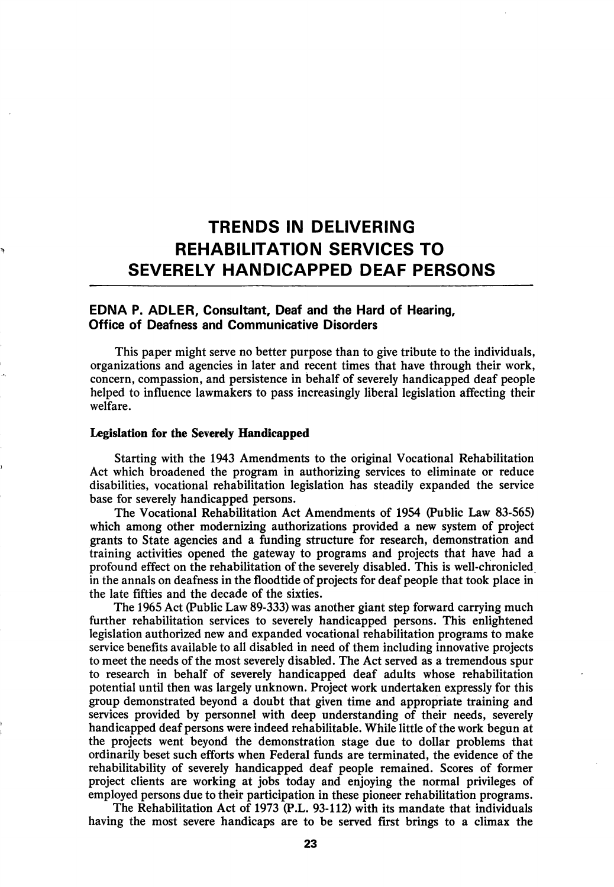# TRENDS IN DELIVERING REHABILITATION SERVICES TO SEVERELY HANDICAPPED DEAF PERSONS

# EDNA P. ADLER, Consultant, Deaf and the Hard of Hearing, Office of Deafness and Communicative Disorders

This paper might serve no better purpose than to give tribute to the individuals, organizations and agencies in later and recent times that have through their work, concern, compassion, and persistence in behalf of severely handicapped deaf people helped to influence lawmakers to pass increasingly liberal legislation affecting their welfare.

## Legislation for the Severely Handicapped

Starting with the 1943 Amendments to the original Vocational Rehabilitation Act which broadened the program in authorizing services to eliminate or reduce disabilities, vocational rehabilitation legislation has steadily expanded the service base for severely handicapped persons.

The Vocational Rehabilitation Act Amendments of 1954 (Public Law 83-565) which among other modernizing authorizations provided a new system of project grants to State agencies and a funding structure for research, demonstration and training activities opened the gateway to programs and projects that have had a profound effect on the rehabilitation of the severely disabled. This is well-chronicled in the annals on deafness in the floodtide of projects for deaf people that took place in the late fifties and the decade of the sixties.

The 1965 Act (Public Law 89-333) was another giant step forward carrying much further rehabilitation services to severely handicapped persons. This enlightened legislation authorized new and expanded vocational rehabilitation programs to make service benefits available to all disabled in need of them including innovative projects to meet the needs of the most severely disabled. The Act served as a tremendous spur to research in behalf of severely handicapped deaf adults whose rehabilitation potential until then was largely unknown. Project work undertaken expressly for this group demonstrated beyond a doubt that given time and appropriate training and services provided by personnel with deep understanding of their needs, severely handicapped deaf persons were indeed rehabilitable. While little of the work begun at the projects went beyond the demonstration stage due to dollar problems that ordinarily beset such efforts when Federal funds are terminated, the evidence of the rehabilitability of severely handicapped deaf people remained. Scores of former project clients are working at jobs today and enjoying the normal privileges of employed persons due to their participation in these pioneer rehabilitation programs.

The Rehabilitation Act of 1973 (P.L. 93-112) with its mandate that individuals having the most severe handicaps are to be served first brings to a climax the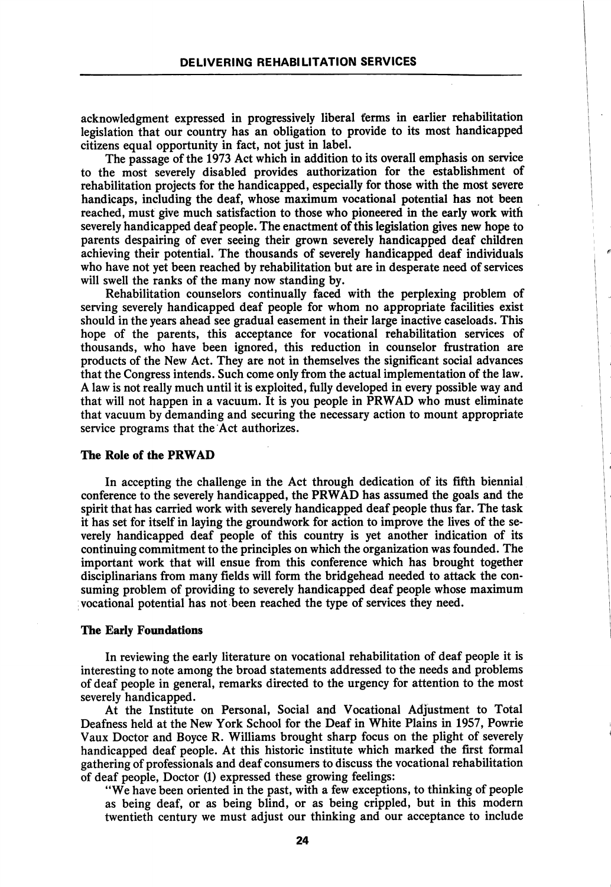acknowledgment expressed in progressively liberal terms in earlier rehabilitation legislation that our country has an obligation to provide to its most handicapped citizens equal opportunity in fact, not just in label.

The passage of the 1973 Act which in addition to its overall emphasis on service to the most severely disabled provides authorization for the establishment of rehabilitation projects for the handicapped, especially for those with the most severe handicaps, including the deaf, whose maximum vocational potential has not been reached, must give much satisfaction to those who pioneered in the early work with severely handicapped deaf people. The enactment of this legislation gives new hope to parents despairing of ever seeing their grown severely handicapped deaf children achieving their potential. The thousands of severely handicapped deaf individuals who have not yet been reached by rehabilitation but are in desperate need of services will swell the ranks of the many now standing by.

Rehabilitation counselors continually faced with the perplexing problem of serving severely handicapped deaf people for whom no appropriate facilities exist should in the years ahead see gradual easement in their large inactive caseloads. This hope of the parents, this acceptance for vocational rehabilitation services of thousands, who have been ignored, this reduction in counselor frustration are products of the New Act. They are not in themselves the significant social advances that the Congress intends. Such come only from the actual implementation of the law. A law is not really much until it is exploited, fully developed in every possible way and that will not happen in a vacuum. It is you people in PRWAD who must eliminate that vacuum by demanding and securing the necessary action to mount appropriate service programs that the Act authorizes.

# The Role of the PRWAD

In accepting the challenge in the Act through dedication of its fifth biennial conference to the severely handicapped, the PRWAD has assumed the goals and the spirit that has carried work with severely handicapped deaf people thus far. The task it has set for itself in laying the groundwork for action to improve the lives of the se verely handicapped deaf people of this country is yet another indication of its continuing commitment to the principles on which the organization was founded. The important work that will ensue from this conference which has brought together disciplinarians from many fields will form the bridgehead needed to attack the con suming problem of providing to severely handicapped deaf people whose maximum vocational potential has not been reached the type of services they need.

#### The Early Foundations

In reviewing the early literature on vocational rehabilitation of deaf people it is interesting to note among the broad statements addressed to the needs and problems of deaf people in general, remarks directed to the urgency for attention to the most severely handicapped.

At the Institute on Personal, Social and Vocational Adjustment to Total Deafness held at the New York School for the Deaf in White Plains in 1957, Powrie Vaux Doctor and Boyce R. Williams brought sharp focus on the plight of severely handicapped deaf people. At this historic institute which marked the first formal gathering of professionals and deaf consumers to discuss the vocational rehabilitation of deaf people. Doctor (1) expressed these growing feelings:

"We have been oriented in the past, with a few exceptions, to thinking of people as being deaf, or as being blind, or as being crippled, but in this modern twentieth century we must adjust our thinking and our acceptance to include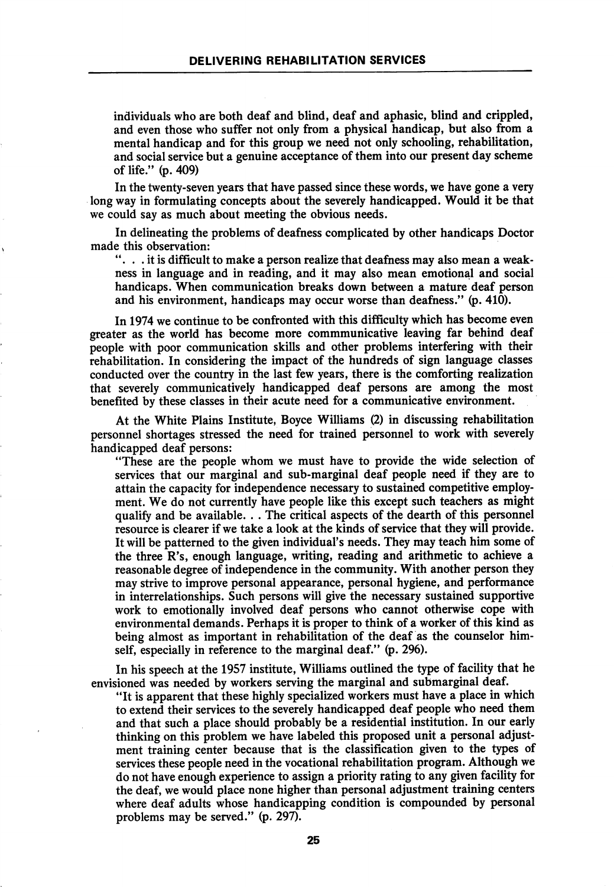individuals who are both deaf and blind, deaf and aphasic, blind and crippled, and even those who suffer not only from a physical handicap, but also from a mental handicap and for this group we need not only schooling, rehabilitation, and social service but a genuine acceptance of them into our present day scheme of life." (p. 409)

In the twenty-seven years that have passed since these words, we have gone a very long way in formulating concepts about the severely handicapped. Would it be that we could say as much about meeting the obvious needs.

In delineating the problems of deafness complicated by other handicaps Doctor made this observation:

.. it is difficult to make a person realize that deafness may also mean a weak ness in language and in reading, and it may also mean emotional and social handicaps. When communication breaks down between a mature deaf person and his environment, handicaps may occur worse than deafness." (p. 410).

In 1974 we continue to be confronted with this difficulty which has become even greater as the world has become more commmunicative leaving far behind deaf people with poor communication skills and other problems interfering with their rehabilitation. In considering the impact of the hundreds of sign language classes conducted over the country in the last few years, there is the comforting realization that severely communicatively handicapped deaf persons are among the most benefited by these classes in their acute need for a communicative environment.

At the White Plains Institute, Boyce Williams (2) in discussing rehabilitation personnel shortages stressed the need for trained personnel to work with severely handicapped deaf persons:

"These are the people whom we must have to provide the wide selection of services that our marginal and sub-marginal deaf people need if they are to attain the capacity for independence necessary to sustained competitive employ ment. We do not currently have people like this except such teachers as might qualify and be available. . . The critical aspects of the dearth of this personnel resource is clearer if we take a look at the kinds of service that they will provide. It will be patterned to the given individual's needs. They may teach him some of the three R's, enough language, writing, reading and arithmetic to achieve a reasonable degree of independence in the community. With another person they may strive to improve personal appearance, personal hygiene, and performance in interrelationships. Such persons will give the necessary sustained supportive work to emotionally involved deaf persons who cannot otherwise cope with environmental demands. Perhaps it is proper to think of a worker of this kind as being almost as important in rehabilitation of the deaf as the counselor him self, especially in reference to the marginal deaf." (p. 296).

In his speech at the 1957 institute, Williams outlined the type of facility that he envisioned was needed by workers serving the marginal and submarginal deaf.

"It is apparent that these highly specialized workers must have a place in which to extend their services to the severely handicapped deaf people who need them and that such a place should probably be a residential institution. In our early thinking on this problem we have labeled this proposed unit a personal adjust ment training center because that is the classification given to the types of services these people need in the vocational rehabilitation program. Although we do not have enough experience to assign a priority rating to any given facility for the deaf, we would place none higher than personal adjustment training centers where deaf adults whose handicapping condition is compounded by personal problems may be served." (p. 297).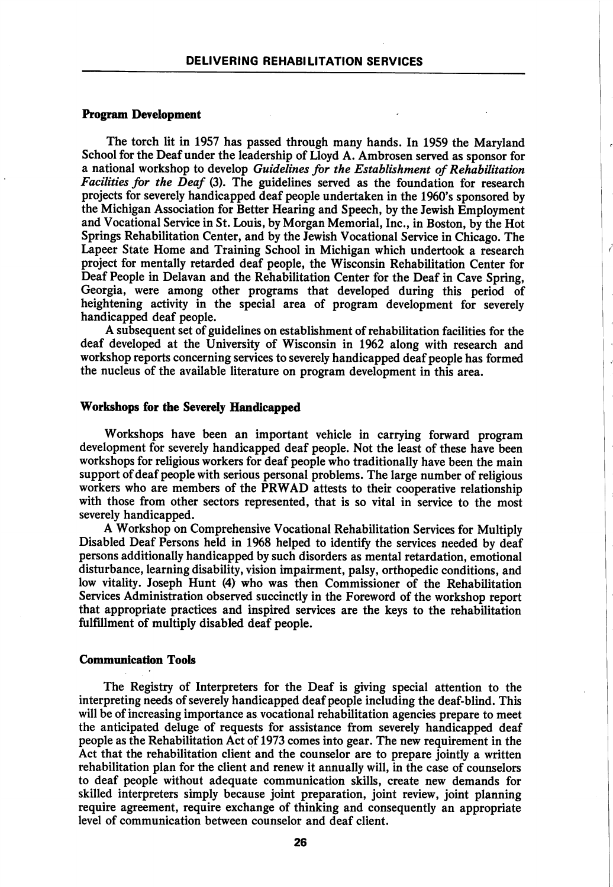### Program Development

The torch lit in 1957 has passed through many hands. In 1959 the Maryland School for the Deaf under the leadership of Lloyd A. Ambrosen served as sponsor for a national workshop to develop Guidelines for the Establishment of Rehabilitation Facilities for the Deaf (3). The guidelines served as the foundation for research projects for severely handicapped deaf people undertaken in the 1960's sponsored by the Michigan Association for Better Hearing and Speech, by the Jewish Employment and Vocational Service in St. Louis, by Morgan Memorial, Inc., in Boston, by the Hot Springs Rehabilitation Center, and by the Jewish Vocational Service in Chicago. The Lapeer State Home and Training School in Michigan which undertook a research project for mentally retarded deaf people, the Wisconsin Rehabilitation Center for Deaf People in Delavan and the Rehabilitation Center for the Deaf in Cave Spring, Georgia, were among other programs that developed during this period of heightening activity in the special area of program development for severely handicapped deaf people.

ł

A subsequent set of guidelines on establishment of rehabilitation facilities for the deaf developed at the University of Wisconsin in 1962 along with research and workshop reports concerning services to severely handicapped deaf people has formed the nucleus of the available literature on program development in this area.

#### Workshops for the Severely Handicapped

Workshops have been an important vehicle in carrying forward program development for severely handicapped deaf people. Not the least of these have been workshops for religious workers for deaf people who traditionally have been the main support of deaf people with serious personal problems. The large number of religious workers who are members of the PRWAD attests to their cooperative relationship with those from other sectors represented, that is so vital in service to the most severely handicapped.

A Workshop on Comprehensive Vocational Rehabilitation Services for Multiply Disabled Deaf Persons held in 1968 helped to identify the services needed by deaf persons additionally handicapped by such disorders as mental retardation, emotional disturbance, learning disability, vision impairment, palsy, orthopedic conditions, and low vitality. Joseph Hunt (4) who was then Commissioner of the Rehabilitation Services Administration observed succinctly in the Foreword of the workshop report that appropriate practices and inspired services are the keys to the rehabilitation fulfillment of multiply disabled deaf people.

#### Communication Tools

The Registry of Interpreters for the Deaf is giving special attention to the interpreting needs of severely handicapped deaf people including the deaf-blind. This will be of increasing importance as vocational rehabilitation agencies prepare to meet the anticipated deluge of requests for assistance from severely handicapped deaf people as the Rehabilitation Act of 1973 comes into gear. The new requirement in the Act that the rehabilitation client and the counselor are to prepare jointly a written rehabilitation plan for the client and renew it annually will, in the case of counselors to deaf people without adequate communication skills, create new demands for skilled interpreters simply because joint preparation, joint review, joint planning require agreement, require exchange of thinking and consequently an appropriate level of communication between counselor and deaf client.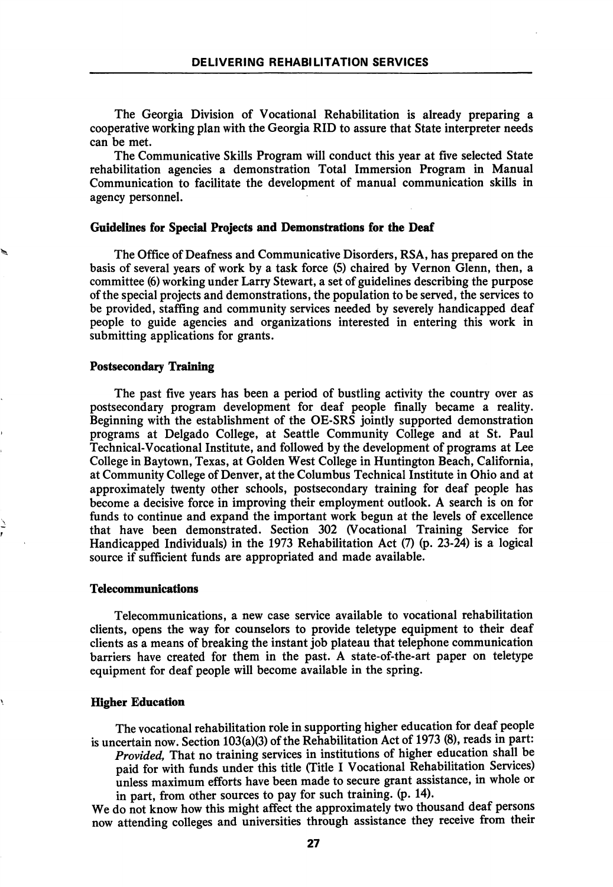The Georgia Division of Vocational Rehabilitation is already preparing a cooperative working plan with the Georgia RID to assure that State interpreter needs can be met.

The Communicative Skills Program will conduct this year at five selected State rehabilitation agencies a demonstration Total Immersion Program in Manual Communication to facilitate the development of manual communication skills in agency personnel.

# Guidelines for Special Projects and Demonstrations for the Deaf

The Office of Deafness and Communicative Disorders, RSA, has prepared on the basis of several years of work by a task force (5) chaired by Vernon Glenn, then, a committee (6) working under Larry Stewart, a set of guidelines describing the purpose of the special projects and demonstrations, the population to be served, the services to be provided, staffing and community services needed by severely handicapped deaf people to guide agencies and organizations interested in entering this work in submitting applications for grants.

# Postsecondary Training

The past five years has been a period of bustling activity the country over as postsecondary program development for deaf people finally became a reality. Beginning with the establishment of the OE-SRS jointly supported demonstration programs at Delgado College, at Seattle Community College and at St. Paul Technical-Vocational Institute, and followed by the development of programs at Lee College in Baytown, Texas, at Golden West College in Huntington Beach, California, at Community College of Denver, at the Columbus Technical Institute in Ohio and at approximately twenty other schools, postsecondary training for deaf people has become a decisive force in improving their employment outlook. A search is on for funds to continue and expand the important work begun at the levels of excellence that have been demonstrated. Section 302 (Vocational Training Service for Handicapped Individuals) in the 1973 Rehabilitation Act (7) (p. 23-24) is a logical source if sufficient funds are appropriated and made available.

## Telecommunications

Telecommunications, a new case service available to vocational rehabilitation clients, opens the way for counselors to provide teletype equipment to their deaf clients as a means of breaking the instant job plateau that telephone communication barriers have created for them in the past. A state-of-the-art paper on teletype equipment for deaf people will become available in the spring.

## Higher Education

The vocational rehabilitation role in supporting higher education for deaf people is uncertain now. Section 103(a)(3) of the Rehabilitation Act of 1973 (8), reads in part:

Provided, That no training services in institutions of higher education shall be paid for with funds under this title (Title I Vocational Rehabilitation Services) unless maximum efforts have been made to secure grant assistance, in whole or in part, from other sources to pay for such training, (p. 14).

We do not know how this might affect the approximately two thousand deaf persons now attending colleges and universities through assistance they receive from their